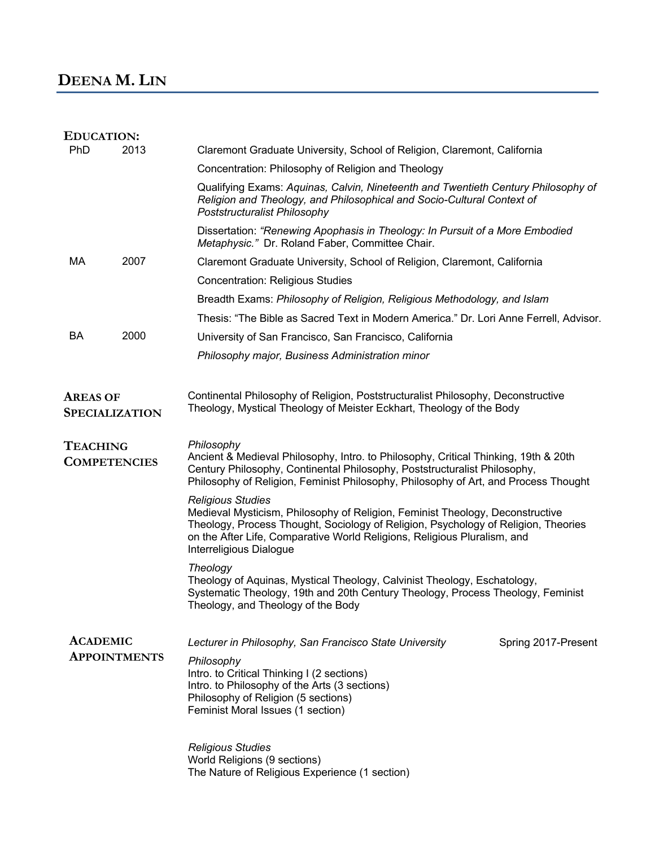## **DEENA M. LIN**

| <b>EDUCATION:</b>                        |      |                                                                                                                                                                                                                                                                                                        |
|------------------------------------------|------|--------------------------------------------------------------------------------------------------------------------------------------------------------------------------------------------------------------------------------------------------------------------------------------------------------|
| PhD                                      | 2013 | Claremont Graduate University, School of Religion, Claremont, California                                                                                                                                                                                                                               |
|                                          |      | Concentration: Philosophy of Religion and Theology                                                                                                                                                                                                                                                     |
|                                          |      | Qualifying Exams: Aquinas, Calvin, Nineteenth and Twentieth Century Philosophy of<br>Religion and Theology, and Philosophical and Socio-Cultural Context of<br>Poststructuralist Philosophy                                                                                                            |
|                                          |      | Dissertation: "Renewing Apophasis in Theology: In Pursuit of a More Embodied<br>Metaphysic." Dr. Roland Faber, Committee Chair.                                                                                                                                                                        |
| MA                                       | 2007 | Claremont Graduate University, School of Religion, Claremont, California                                                                                                                                                                                                                               |
|                                          |      | <b>Concentration: Religious Studies</b>                                                                                                                                                                                                                                                                |
|                                          |      | Breadth Exams: Philosophy of Religion, Religious Methodology, and Islam                                                                                                                                                                                                                                |
|                                          |      | Thesis: "The Bible as Sacred Text in Modern America." Dr. Lori Anne Ferrell, Advisor.                                                                                                                                                                                                                  |
| BA                                       | 2000 | University of San Francisco, San Francisco, California                                                                                                                                                                                                                                                 |
|                                          |      | Philosophy major, Business Administration minor                                                                                                                                                                                                                                                        |
| <b>AREAS OF</b><br><b>SPECIALIZATION</b> |      | Continental Philosophy of Religion, Poststructuralist Philosophy, Deconstructive<br>Theology, Mystical Theology of Meister Eckhart, Theology of the Body                                                                                                                                               |
| <b>TEACHING</b><br><b>COMPETENCIES</b>   |      | Philosophy<br>Ancient & Medieval Philosophy, Intro. to Philosophy, Critical Thinking, 19th & 20th<br>Century Philosophy, Continental Philosophy, Poststructuralist Philosophy,<br>Philosophy of Religion, Feminist Philosophy, Philosophy of Art, and Process Thought                                  |
|                                          |      | <b>Religious Studies</b><br>Medieval Mysticism, Philosophy of Religion, Feminist Theology, Deconstructive<br>Theology, Process Thought, Sociology of Religion, Psychology of Religion, Theories<br>on the After Life, Comparative World Religions, Religious Pluralism, and<br>Interreligious Dialogue |
|                                          |      | Theology<br>Theology of Aquinas, Mystical Theology, Calvinist Theology, Eschatology,<br>Systematic Theology, 19th and 20th Century Theology, Process Theology, Feminist<br>Theology, and Theology of the Body                                                                                          |
| <b>ACADEMIC</b><br><b>APPOINTMENTS</b>   |      | Lecturer in Philosophy, San Francisco State University<br>Spring 2017-Present<br>Philosophy                                                                                                                                                                                                            |
|                                          |      | Intro. to Critical Thinking I (2 sections)<br>Intro. to Philosophy of the Arts (3 sections)<br>Philosophy of Religion (5 sections)<br>Feminist Moral Issues (1 section)                                                                                                                                |
|                                          |      | <b>Religious Studies</b><br>World Religions (9 sections)<br>The Nature of Religious Experience (1 section)                                                                                                                                                                                             |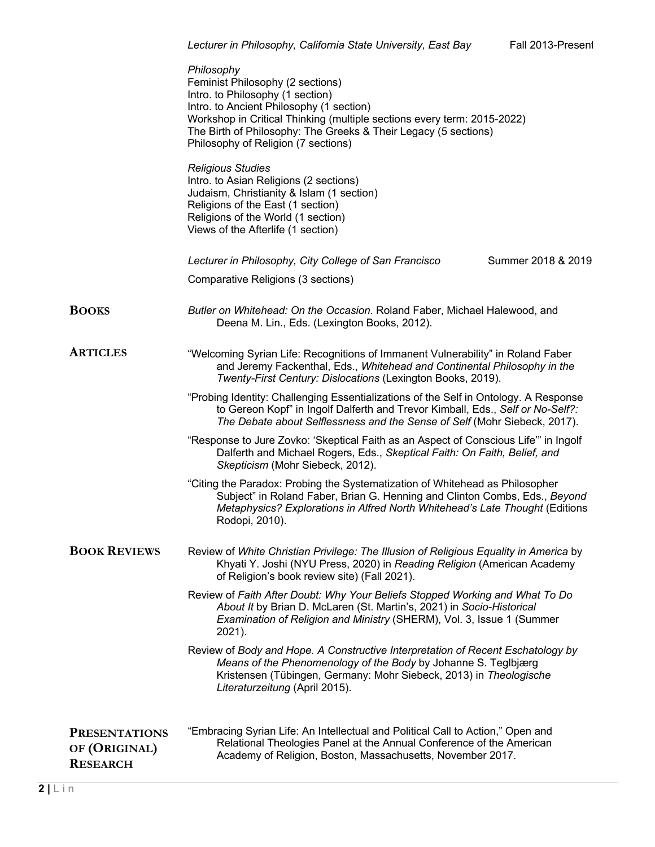|                                                          | Philosophy<br>Feminist Philosophy (2 sections)<br>Intro. to Philosophy (1 section)<br>Intro. to Ancient Philosophy (1 section)<br>Workshop in Critical Thinking (multiple sections every term: 2015-2022)<br>The Birth of Philosophy: The Greeks & Their Legacy (5 sections)<br>Philosophy of Religion (7 sections)<br><b>Religious Studies</b><br>Intro. to Asian Religions (2 sections)<br>Judaism, Christianity & Islam (1 section)<br>Religions of the East (1 section)<br>Religions of the World (1 section)<br>Views of the Afterlife (1 section) |
|----------------------------------------------------------|---------------------------------------------------------------------------------------------------------------------------------------------------------------------------------------------------------------------------------------------------------------------------------------------------------------------------------------------------------------------------------------------------------------------------------------------------------------------------------------------------------------------------------------------------------|
|                                                          | Summer 2018 & 2019<br>Lecturer in Philosophy, City College of San Francisco                                                                                                                                                                                                                                                                                                                                                                                                                                                                             |
|                                                          | Comparative Religions (3 sections)                                                                                                                                                                                                                                                                                                                                                                                                                                                                                                                      |
| <b>BOOKS</b>                                             | Butler on Whitehead: On the Occasion. Roland Faber, Michael Halewood, and<br>Deena M. Lin., Eds. (Lexington Books, 2012).                                                                                                                                                                                                                                                                                                                                                                                                                               |
| <b>ARTICLES</b>                                          | "Welcoming Syrian Life: Recognitions of Immanent Vulnerability" in Roland Faber<br>and Jeremy Fackenthal, Eds., Whitehead and Continental Philosophy in the<br>Twenty-First Century: Dislocations (Lexington Books, 2019).                                                                                                                                                                                                                                                                                                                              |
|                                                          | "Probing Identity: Challenging Essentializations of the Self in Ontology. A Response<br>to Gereon Kopf" in Ingolf Dalferth and Trevor Kimball, Eds., Self or No-Self?:<br>The Debate about Selflessness and the Sense of Self (Mohr Siebeck, 2017).                                                                                                                                                                                                                                                                                                     |
|                                                          | "Response to Jure Zovko: 'Skeptical Faith as an Aspect of Conscious Life'" in Ingolf<br>Dalferth and Michael Rogers, Eds., Skeptical Faith: On Faith, Belief, and<br>Skepticism (Mohr Siebeck, 2012).                                                                                                                                                                                                                                                                                                                                                   |
|                                                          | "Citing the Paradox: Probing the Systematization of Whitehead as Philosopher<br>Subject" in Roland Faber, Brian G. Henning and Clinton Combs, Eds., Beyond<br>Metaphysics? Explorations in Alfred North Whitehead's Late Thought (Editions<br>Rodopi, 2010).                                                                                                                                                                                                                                                                                            |
| <b>BOOK REVIEWS</b>                                      | Review of White Christian Privilege: The Illusion of Religious Equality in America by<br>Khyati Y. Joshi (NYU Press, 2020) in Reading Religion (American Academy<br>of Religion's book review site) (Fall 2021).                                                                                                                                                                                                                                                                                                                                        |
|                                                          | Review of Faith After Doubt: Why Your Beliefs Stopped Working and What To Do<br>About It by Brian D. McLaren (St. Martin's, 2021) in Socio-Historical<br>Examination of Religion and Ministry (SHERM), Vol. 3, Issue 1 (Summer<br>2021).                                                                                                                                                                                                                                                                                                                |
|                                                          | Review of Body and Hope. A Constructive Interpretation of Recent Eschatology by<br>Means of the Phenomenology of the Body by Johanne S. Teglbjærg<br>Kristensen (Tübingen, Germany: Mohr Siebeck, 2013) in Theologische<br>Literaturzeitung (April 2015).                                                                                                                                                                                                                                                                                               |
| <b>PRESENTATIONS</b><br>OF (ORIGINAL)<br><b>RESEARCH</b> | "Embracing Syrian Life: An Intellectual and Political Call to Action," Open and<br>Relational Theologies Panel at the Annual Conference of the American<br>Academy of Religion, Boston, Massachusetts, November 2017.                                                                                                                                                                                                                                                                                                                                   |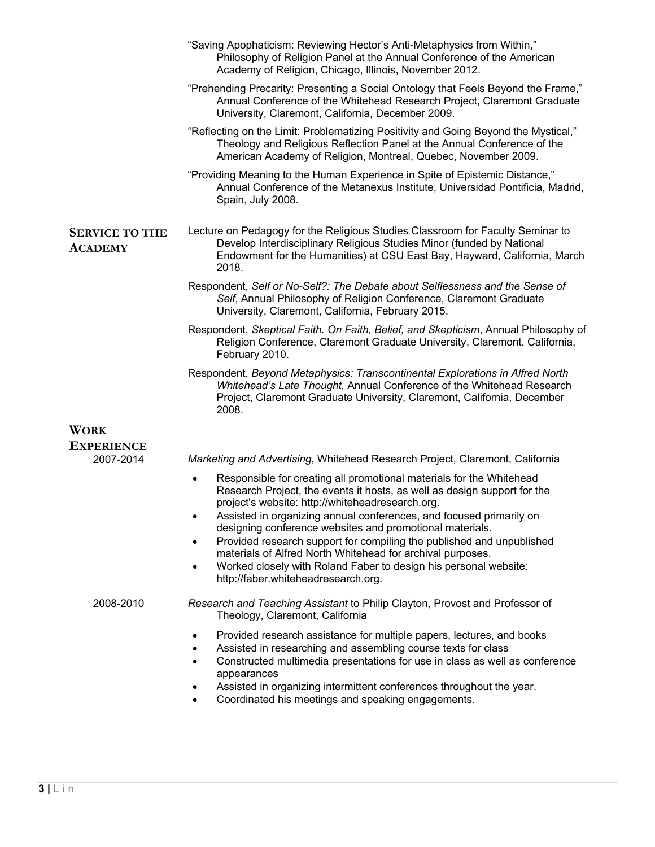|                                         | "Saving Apophaticism: Reviewing Hector's Anti-Metaphysics from Within,"<br>Philosophy of Religion Panel at the Annual Conference of the American<br>Academy of Religion, Chicago, Illinois, November 2012.                                                                                                                                                                                                                                                                                                                                                                                                                       |
|-----------------------------------------|----------------------------------------------------------------------------------------------------------------------------------------------------------------------------------------------------------------------------------------------------------------------------------------------------------------------------------------------------------------------------------------------------------------------------------------------------------------------------------------------------------------------------------------------------------------------------------------------------------------------------------|
|                                         | "Prehending Precarity: Presenting a Social Ontology that Feels Beyond the Frame,"<br>Annual Conference of the Whitehead Research Project, Claremont Graduate<br>University, Claremont, California, December 2009.                                                                                                                                                                                                                                                                                                                                                                                                                |
|                                         | "Reflecting on the Limit: Problematizing Positivity and Going Beyond the Mystical,"<br>Theology and Religious Reflection Panel at the Annual Conference of the<br>American Academy of Religion, Montreal, Quebec, November 2009.                                                                                                                                                                                                                                                                                                                                                                                                 |
|                                         | "Providing Meaning to the Human Experience in Spite of Epistemic Distance,"<br>Annual Conference of the Metanexus Institute, Universidad Pontificia, Madrid,<br>Spain, July 2008.                                                                                                                                                                                                                                                                                                                                                                                                                                                |
| <b>SERVICE TO THE</b><br><b>ACADEMY</b> | Lecture on Pedagogy for the Religious Studies Classroom for Faculty Seminar to<br>Develop Interdisciplinary Religious Studies Minor (funded by National<br>Endowment for the Humanities) at CSU East Bay, Hayward, California, March<br>2018.                                                                                                                                                                                                                                                                                                                                                                                    |
|                                         | Respondent, Self or No-Self?: The Debate about Selflessness and the Sense of<br>Self, Annual Philosophy of Religion Conference, Claremont Graduate<br>University, Claremont, California, February 2015.                                                                                                                                                                                                                                                                                                                                                                                                                          |
|                                         | Respondent, Skeptical Faith. On Faith, Belief, and Skepticism, Annual Philosophy of<br>Religion Conference, Claremont Graduate University, Claremont, California,<br>February 2010.                                                                                                                                                                                                                                                                                                                                                                                                                                              |
|                                         | Respondent, Beyond Metaphysics: Transcontinental Explorations in Alfred North<br>Whitehead's Late Thought, Annual Conference of the Whitehead Research<br>Project, Claremont Graduate University, Claremont, California, December<br>2008.                                                                                                                                                                                                                                                                                                                                                                                       |
| <b>WORK</b>                             |                                                                                                                                                                                                                                                                                                                                                                                                                                                                                                                                                                                                                                  |
| <b>EXPERIENCE</b>                       |                                                                                                                                                                                                                                                                                                                                                                                                                                                                                                                                                                                                                                  |
| 2007-2014                               | Marketing and Advertising, Whitehead Research Project, Claremont, California                                                                                                                                                                                                                                                                                                                                                                                                                                                                                                                                                     |
|                                         | Responsible for creating all promotional materials for the Whitehead<br>$\bullet$<br>Research Project, the events it hosts, as well as design support for the<br>project's website: http://whiteheadresearch.org.<br>Assisted in organizing annual conferences, and focused primarily on<br>designing conference websites and promotional materials.<br>Provided research support for compiling the published and unpublished<br>$\bullet$<br>materials of Alfred North Whitehead for archival purposes.<br>Worked closely with Roland Faber to design his personal website:<br>$\bullet$<br>http://faber.whiteheadresearch.org. |
| 2008-2010                               | Research and Teaching Assistant to Philip Clayton, Provost and Professor of<br>Theology, Claremont, California                                                                                                                                                                                                                                                                                                                                                                                                                                                                                                                   |
|                                         | Provided research assistance for multiple papers, lectures, and books<br>$\bullet$<br>Assisted in researching and assembling course texts for class<br>Constructed multimedia presentations for use in class as well as conference<br>$\bullet$<br>appearances<br>Assisted in organizing intermittent conferences throughout the year.<br>Coordinated his meetings and speaking engagements.                                                                                                                                                                                                                                     |
|                                         |                                                                                                                                                                                                                                                                                                                                                                                                                                                                                                                                                                                                                                  |